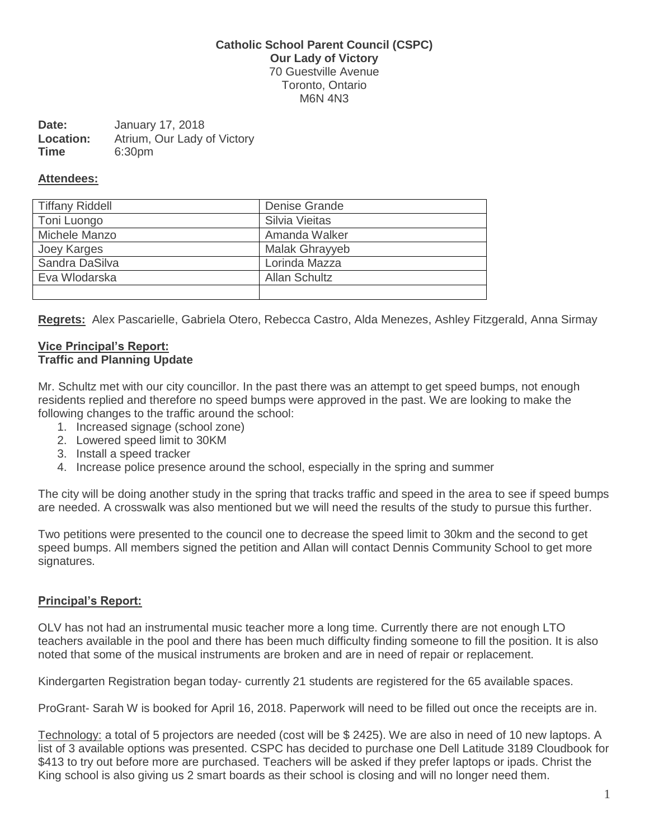# **Catholic School Parent Council (CSPC) Our Lady of Victory** 70 Guestville Avenue Toronto, Ontario M6N 4N3

| Date:       | January 17, 2018            |  |
|-------------|-----------------------------|--|
| Location:   | Atrium, Our Lady of Victory |  |
| <b>Time</b> | 6:30pm                      |  |

### **Attendees:**

| <b>Tiffany Riddell</b> | Denise Grande         |
|------------------------|-----------------------|
| Toni Luongo            | Silvia Vieitas        |
| Michele Manzo          | Amanda Walker         |
| Joey Karges            | <b>Malak Ghrayyeb</b> |
| Sandra DaSilva         | Lorinda Mazza         |
| Eva Wlodarska          | <b>Allan Schultz</b>  |
|                        |                       |

**Regrets:** Alex Pascarielle, Gabriela Otero, Rebecca Castro, Alda Menezes, Ashley Fitzgerald, Anna Sirmay

#### **Vice Principal's Report: Traffic and Planning Update**

Mr. Schultz met with our city councillor. In the past there was an attempt to get speed bumps, not enough residents replied and therefore no speed bumps were approved in the past. We are looking to make the following changes to the traffic around the school:

- 1. Increased signage (school zone)
- 2. Lowered speed limit to 30KM
- 3. Install a speed tracker
- 4. Increase police presence around the school, especially in the spring and summer

The city will be doing another study in the spring that tracks traffic and speed in the area to see if speed bumps are needed. A crosswalk was also mentioned but we will need the results of the study to pursue this further.

Two petitions were presented to the council one to decrease the speed limit to 30km and the second to get speed bumps. All members signed the petition and Allan will contact Dennis Community School to get more signatures.

# **Principal's Report:**

OLV has not had an instrumental music teacher more a long time. Currently there are not enough LTO teachers available in the pool and there has been much difficulty finding someone to fill the position. It is also noted that some of the musical instruments are broken and are in need of repair or replacement.

Kindergarten Registration began today- currently 21 students are registered for the 65 available spaces.

ProGrant- Sarah W is booked for April 16, 2018. Paperwork will need to be filled out once the receipts are in.

Technology: a total of 5 projectors are needed (cost will be \$ 2425). We are also in need of 10 new laptops. A list of 3 available options was presented. CSPC has decided to purchase one Dell Latitude 3189 Cloudbook for \$413 to try out before more are purchased. Teachers will be asked if they prefer laptops or ipads. Christ the King school is also giving us 2 smart boards as their school is closing and will no longer need them.